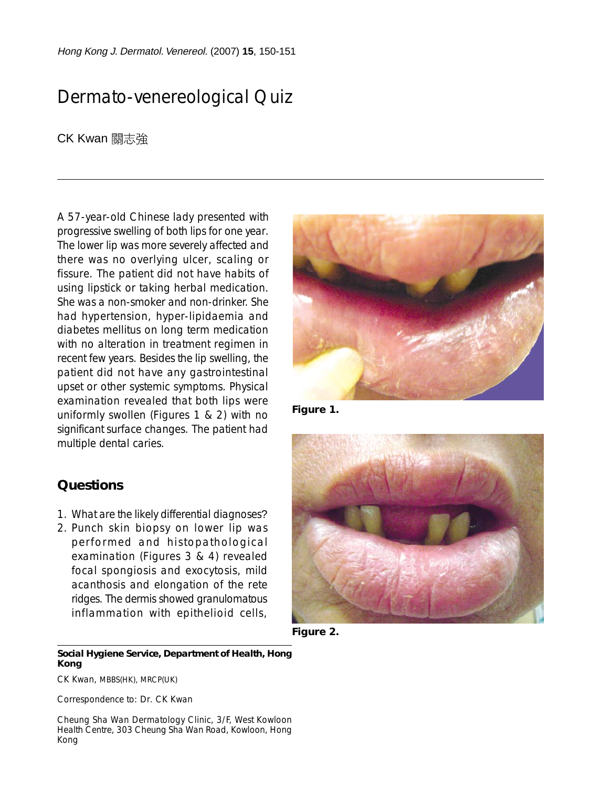Hong Kong J. Dermatol. Venereol. (2007) **15**, 150-151

# Dermato-venereological Quiz

CK Kwan 關志強

A 57-year-old Chinese lady presented with progressive swelling of both lips for one year. The lower lip was more severely affected and there was no overlying ulcer, scaling or fissure. The patient did not have habits of using lipstick or taking herbal medication. She was a non-smoker and non-drinker. She had hypertension, hyper-lipidaemia and diabetes mellitus on long term medication with no alteration in treatment regimen in recent few years. Besides the lip swelling, the patient did not have any gastrointestinal upset or other systemic symptoms. Physical examination revealed that both lips were uniformly swollen (Figures 1 & 2) with no significant surface changes. The patient had multiple dental caries.

1. What are the likely differential diagnoses? 2. Punch skin biopsy on lower lip was performed and histopathological examination (Figures 3 & 4) revealed focal spongiosis and exocytosis, mild acanthosis and elongation of the rete ridges. The dermis showed granulomatous inflammation with epithelioid cells,

**Figure 1.**



**Figure 2.**

### **Social Hygiene Service, Department of Health, Hong Kong**

CK Kwan, MBBS(HK), MRCP(UK)

**Questions**

Correspondence to: Dr. CK Kwan

Cheung Sha Wan Dermatology Clinic, 3/F, West Kowloon Health Centre, 303 Cheung Sha Wan Road, Kowloon, Hong Kong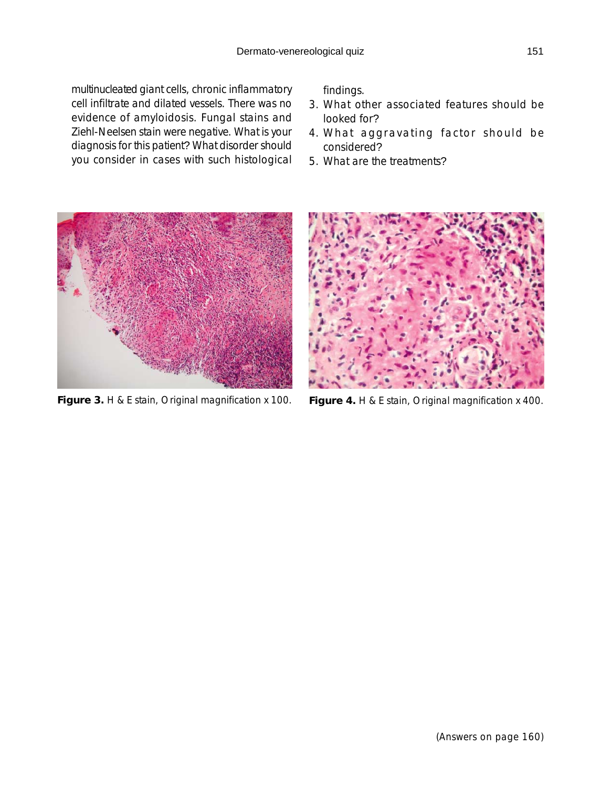multinucleated giant cells, chronic inflammatory cell infiltrate and dilated vessels. There was no evidence of amyloidosis. Fungal stains and Ziehl-Neelsen stain were negative. What is your diagnosis for this patient? What disorder should you consider in cases with such histological

findings.

- 3. What other associated features should be looked for?
- 4. What aggravating factor should be considered?
- 5. What are the treatments?



**Figure 3.** H & E stain, Original magnification x 100. **Figure 4.** H & E stain, Original magnification x 400.